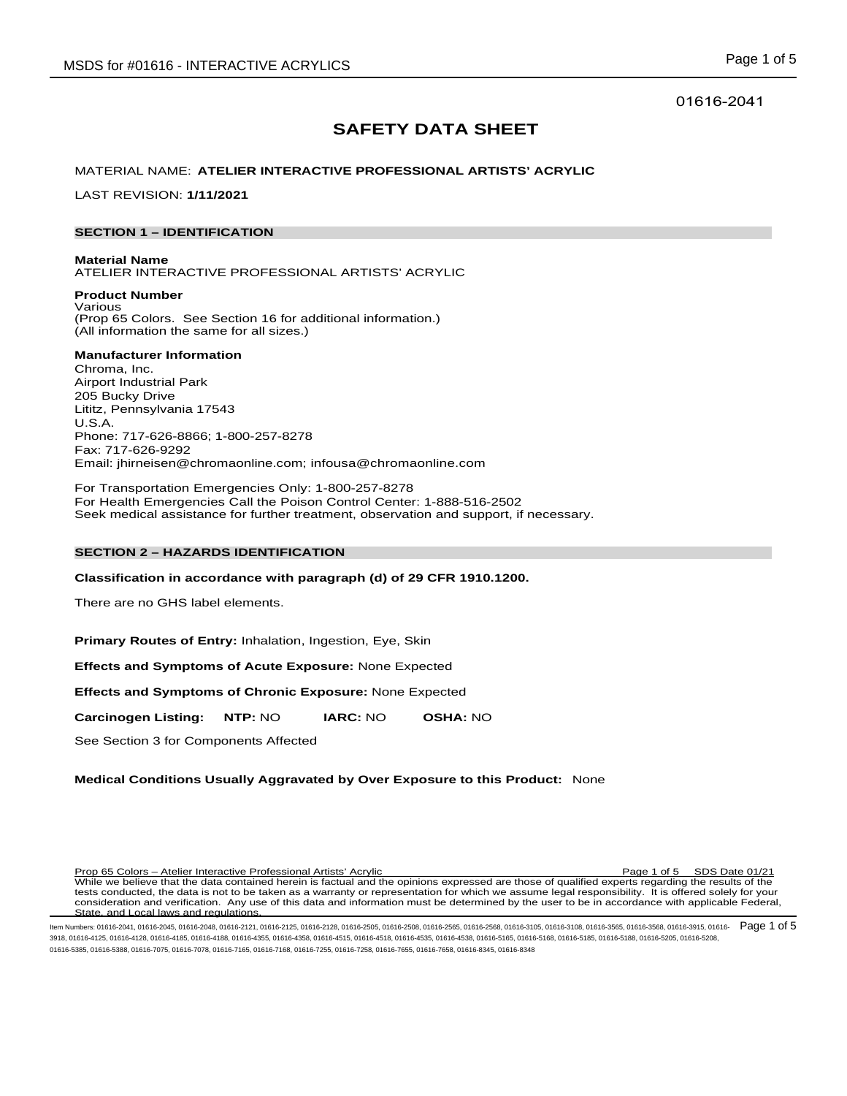01616-2041

# **SAFETY DATA SHEET**

# MATERIAL NAME: **ATELIER INTERACTIVE PROFESSIONAL ARTISTS' ACRYLIC**

LAST REVISION: **1/11/2021**

# **SECTION 1 – IDENTIFICATION**

**Material Name** ATELIER INTERACTIVE PROFESSIONAL ARTISTS' ACRYLIC

**Product Number** Various (Prop 65 Colors. See Section 16 for additional information.) (All information the same for all sizes.)

# **Manufacturer Information**

Chroma, Inc. Airport Industrial Park 205 Bucky Drive Lititz, Pennsylvania 17543 U.S.A. Phone: 717-626-8866; 1-800-257-8278 Fax: 717-626-9292 Email: jhirneisen@chromaonline.com; infousa@chromaonline.com

For Transportation Emergencies Only: 1-800-257-8278 For Health Emergencies Call the Poison Control Center: 1-888-516-2502 Seek medical assistance for further treatment, observation and support, if necessary.

# **SECTION 2 – HAZARDS IDENTIFICATION**

**Classification in accordance with paragraph (d) of 29 CFR 1910.1200.**

There are no GHS label elements.

**Primary Routes of Entry:** Inhalation, Ingestion, Eye, Skin

**Effects and Symptoms of Acute Exposure:** None Expected

**Effects and Symptoms of Chronic Exposure:** None Expected

**Carcinogen Listing: NTP:** NO **IARC:** NO **OSHA:** NO

See Section 3 for Components Affected

# **Medical Conditions Usually Aggravated by Over Exposure to this Product:** None

Prop 65 Colors – Atelier Interactive Professional Artists' Acrylic Page 1 of 5 SDS Date 01/21 While we believe that the data contained herein is factual and the opinions expressed are those of qualified experts regarding the results of the tests conducted, the data is not to be taken as a warranty or representation for which we assume legal responsibility. It is offered solely for your consideration and verification. Any use of this data and information must be determined by the user to be in accordance with applicable Federal, State, and Local laws and regulations.

ltem Numbers: 01616-2041, 01616-2045, 01616-2048, 01616-2121, 01616-2125, 01616-2505, 01616-2508, 01616-2565, 01616-3105, 01616-3105, 01616-3505, 01616-3568, 01616-3568, 01616-3568, 01616-3915, 01616-3915, 01616-3108, 0161 3918, 01616-4125, 01616-4128, 01616-4185, 01616-4188, 01616-4355, 01616-4358, 01616-4515, 01616-4518, 01616-4535, 01616-4538, 01616-5165, 01616-5168, 01616-5185, 01616-5188, 01616-5205, 01616-5208, 01616-5385, 01616-5388, 01616-7075, 01616-7078, 01616-7165, 01616-7168, 01616-7255, 01616-7258, 01616-7655, 01616-7658, 01616-8345, 01616-8348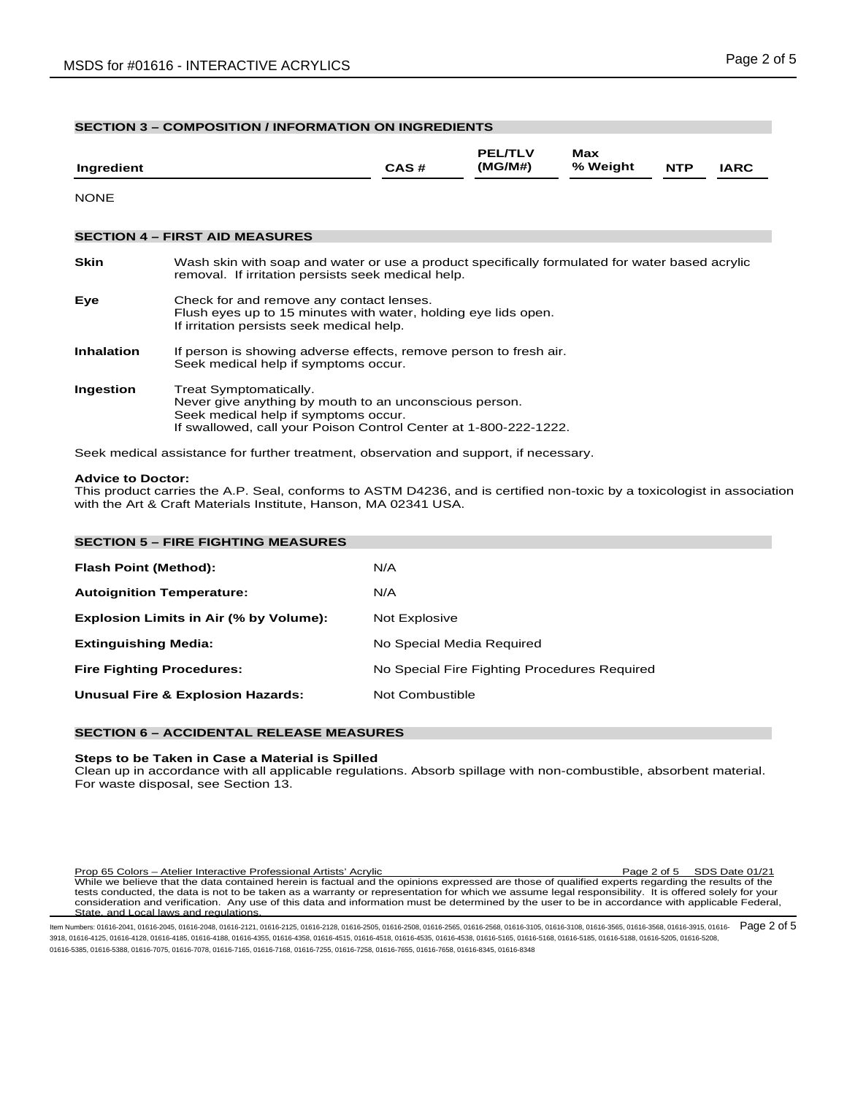| <b>SECTION 3 - COMPOSITION / INFORMATION ON INGREDIENTS</b> |                                                                                                                                                                                              |      |                           |                 |            |             |  |  |
|-------------------------------------------------------------|----------------------------------------------------------------------------------------------------------------------------------------------------------------------------------------------|------|---------------------------|-----------------|------------|-------------|--|--|
| Ingredient                                                  |                                                                                                                                                                                              | CAS# | <b>PEL/TLV</b><br>(MG/M#) | Max<br>% Weight | <b>NTP</b> | <b>IARC</b> |  |  |
| <b>NONE</b>                                                 |                                                                                                                                                                                              |      |                           |                 |            |             |  |  |
|                                                             | <b>SECTION 4 - FIRST AID MEASURES</b>                                                                                                                                                        |      |                           |                 |            |             |  |  |
| <b>Skin</b>                                                 | Wash skin with soap and water or use a product specifically formulated for water based acrylic<br>removal. If irritation persists seek medical help.                                         |      |                           |                 |            |             |  |  |
| Eye                                                         | Check for and remove any contact lenses.<br>Flush eyes up to 15 minutes with water, holding eye lids open.<br>If irritation persists seek medical help.                                      |      |                           |                 |            |             |  |  |
| <b>Inhalation</b>                                           | If person is showing adverse effects, remove person to fresh air.<br>Seek medical help if symptoms occur.                                                                                    |      |                           |                 |            |             |  |  |
| Ingestion                                                   | Treat Symptomatically.<br>Never give anything by mouth to an unconscious person.<br>Seek medical help if symptoms occur.<br>If swallowed, call your Poison Control Center at 1-800-222-1222. |      |                           |                 |            |             |  |  |
|                                                             | Seek medical assistance for further treatment, observation and support, if necessary.                                                                                                        |      |                           |                 |            |             |  |  |

#### **Advice to Doctor:**

This product carries the A.P. Seal, conforms to ASTM D4236, and is certified non-toxic by a toxicologist in association with the Art & Craft Materials Institute, Hanson, MA 02341 USA.

| <b>SECTION 5 - FIRE FIGHTING MEASURES</b>    |                                              |  |  |  |  |  |
|----------------------------------------------|----------------------------------------------|--|--|--|--|--|
| <b>Flash Point (Method):</b>                 | N/A                                          |  |  |  |  |  |
| <b>Autoignition Temperature:</b>             | N/A                                          |  |  |  |  |  |
| Explosion Limits in Air (% by Volume):       | Not Explosive                                |  |  |  |  |  |
| <b>Extinguishing Media:</b>                  | No Special Media Required                    |  |  |  |  |  |
| <b>Fire Fighting Procedures:</b>             | No Special Fire Fighting Procedures Required |  |  |  |  |  |
| <b>Unusual Fire &amp; Explosion Hazards:</b> | Not Combustible                              |  |  |  |  |  |

# **SECTION 6 – ACCIDENTAL RELEASE MEASURES**

#### **Steps to be Taken in Case a Material is Spilled**

Clean up in accordance with all applicable regulations. Absorb spillage with non-combustible, absorbent material. For waste disposal, see Section 13.

Prop 65 Colors – Atelier Interactive Professional Artists' Acrylic Page 2 of 5 SDS Date 01/21 While we believe that the data contained herein is factual and the opinions expressed are those of qualified experts regarding the results of the tests conducted, the data is not to be taken as a warranty or representation for which we assume legal responsibility. It is offered solely for your consideration and verification. Any use of this data and information must be determined by the user to be in accordance with applicable Federal, State, and Local laws and regulations.

ltem Numbers: 01616-2041, 01616-2045, 01616-2048, 01616-2121, 01616-2125, 01616-2505, 01616-2508, 01616-2565, 01616-2568, 01616-3108, 01616-3108, 01616-3568, 01616-3568, 01616-3568, 01616-3915, 01616-3915, 01616-3568, 0161 3918, 01616-4125, 01616-4128, 01616-4185, 01616-4188, 01616-4355, 01616-4358, 01616-4515, 01616-4518, 01616-4535, 01616-4538, 01616-5165, 01616-5168, 01616-5185, 01616-5188, 01616-5205, 01616-5208, 01616-5385, 01616-5388, 01616-7075, 01616-7078, 01616-7165, 01616-7168, 01616-7255, 01616-7258, 01616-7655, 01616-7658, 01616-8345, 01616-8348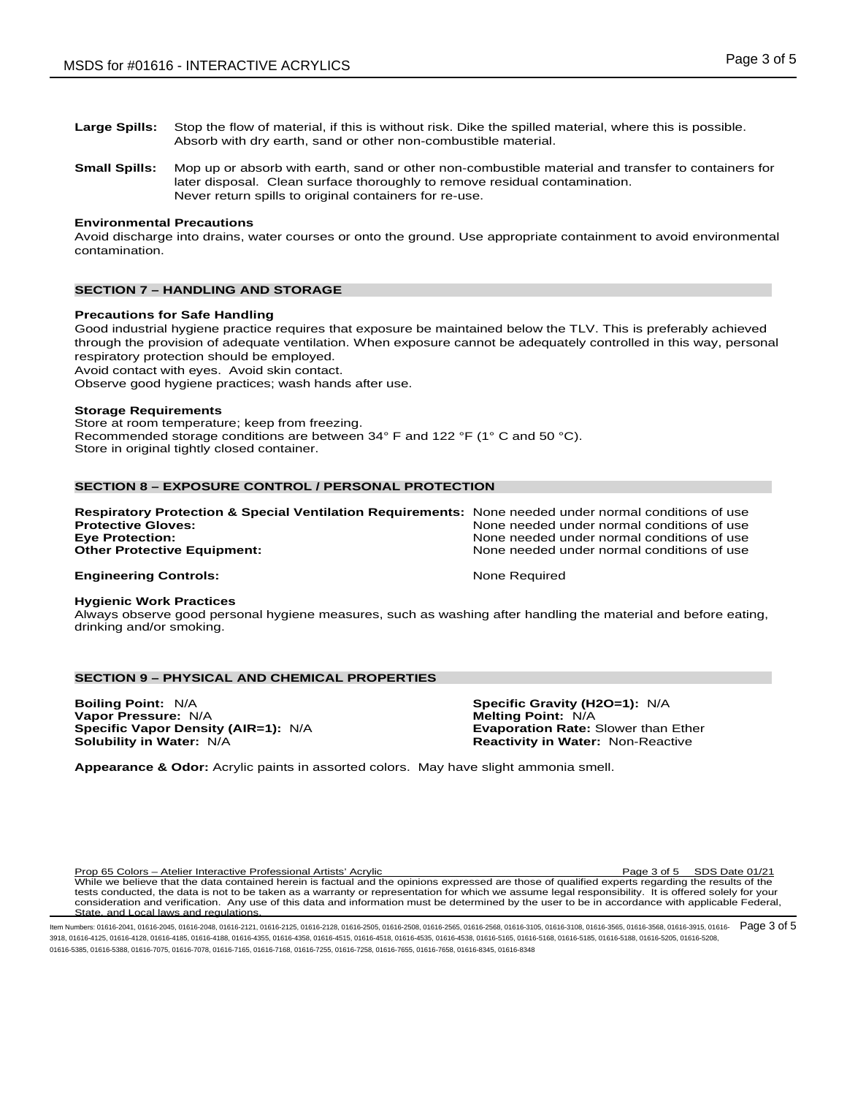- **Large Spills:** Stop the flow of material, if this is without risk. Dike the spilled material, where this is possible. Absorb with dry earth, sand or other non-combustible material.
- **Small Spills:** Mop up or absorb with earth, sand or other non-combustible material and transfer to containers for later disposal. Clean surface thoroughly to remove residual contamination. Never return spills to original containers for re-use.

# **Environmental Precautions**

Avoid discharge into drains, water courses or onto the ground. Use appropriate containment to avoid environmental contamination.

# **SECTION 7 – HANDLING AND STORAGE**

#### **Precautions for Safe Handling**

Good industrial hygiene practice requires that exposure be maintained below the TLV. This is preferably achieved through the provision of adequate ventilation. When exposure cannot be adequately controlled in this way, personal respiratory protection should be employed.

Avoid contact with eyes. Avoid skin contact.

Observe good hygiene practices; wash hands after use.

#### **Storage Requirements**

Store at room temperature; keep from freezing. Recommended storage conditions are between 34° F and 122 °F (1° C and 50 °C). Store in original tightly closed container.

# **SECTION 8 – EXPOSURE CONTROL / PERSONAL PROTECTION**

| <b>Respiratory Protection &amp; Special Ventilation Requirements:</b> None needed under normal conditions of use<br><b>Protective Gloves:</b> | None needed under normal conditions of use                                               |
|-----------------------------------------------------------------------------------------------------------------------------------------------|------------------------------------------------------------------------------------------|
| <b>Eye Protection:</b><br><b>Other Protective Equipment:</b>                                                                                  | None needed under normal conditions of use<br>None needed under normal conditions of use |
| <b>Engineering Controls:</b>                                                                                                                  | None Required                                                                            |

#### **Hygienic Work Practices**

Always observe good personal hygiene measures, such as washing after handling the material and before eating, drinking and/or smoking.

# **SECTION 9 – PHYSICAL AND CHEMICAL PROPERTIES**

**Boiling Point:** N/A **Specific Gravity (H2O=1):** N/A **Vapor Pressure:** N/A **Melting Point:** N/A **Melting Point:** N/A **Specific Vapor Density (AIR=1):** N/A **Melting Point:** Exaporation Rate: Slower than Ether **Specific Vapor Density (AIR=1): N/A Solubility in Water: N/A** 

**Reactivity in Water: Non-Reactive** 

**Appearance & Odor:** Acrylic paints in assorted colors. May have slight ammonia smell.

Prop 65 Colors – Atelier Interactive Professional Artists' Acrylic Page 3 of 5 SDS Date 01/21 While we believe that the data contained herein is factual and the opinions expressed are those of qualified experts regarding the results of the tests conducted, the data is not to be taken as a warranty or representation for which we assume legal responsibility. It is offered solely for your consideration and verification. Any use of this data and information must be determined by the user to be in accordance with applicable Federal, State, and Local laws and regulations.

ltem Numbers: 01616-2041, 01616-2045, 01616-2048, 01616-2121, 01616-2125, 01616-2505, 01616-2505, 01616-2565, 01616-3105, 01616-3105, 01616-3505, 01616-3568, 01616-3568, 01616-3568, 01616-3915, 01616-3915, 01616-3568, 0161 3918, 01616-4125, 01616-4128, 01616-4185, 01616-4188, 01616-4355, 01616-4358, 01616-4515, 01616-4518, 01616-4535, 01616-4538, 01616-5165, 01616-5168, 01616-5185, 01616-5188, 01616-5205, 01616-5208, 01616-5385, 01616-5388, 01616-7075, 01616-7078, 01616-7165, 01616-7168, 01616-7255, 01616-7258, 01616-7655, 01616-7658, 01616-8345, 01616-8348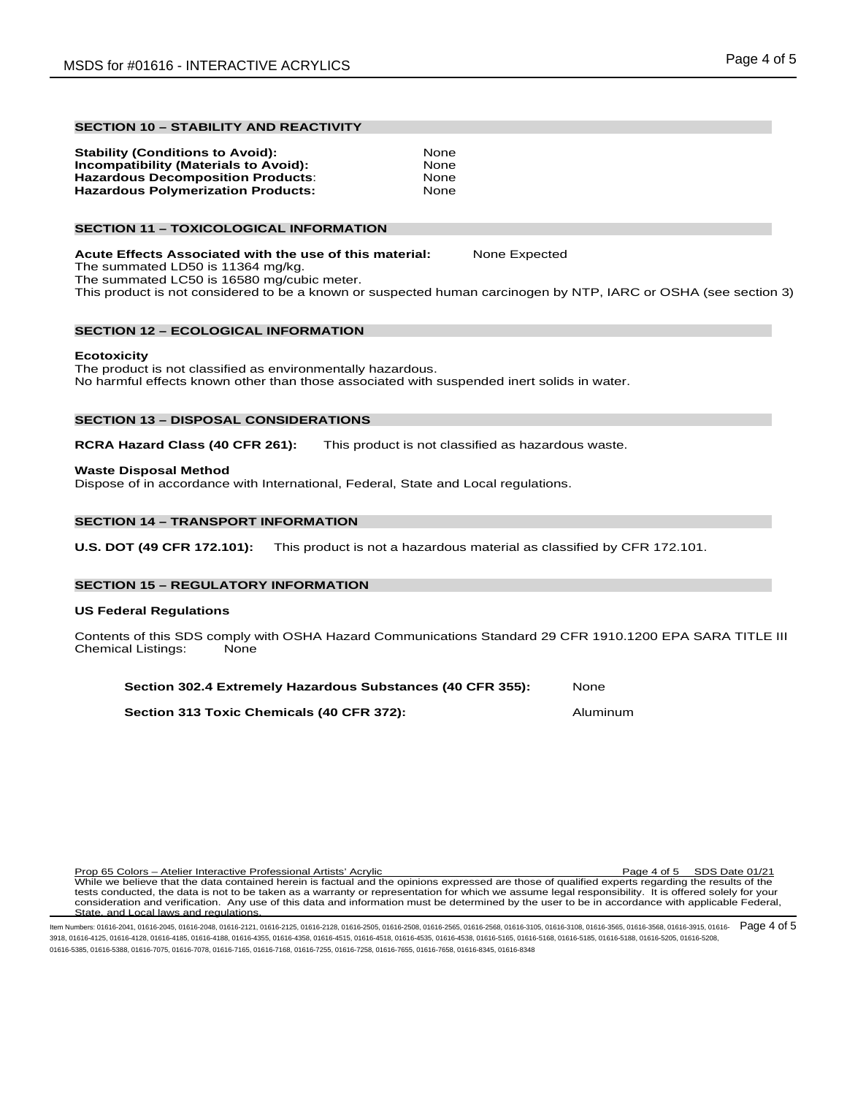# **SECTION 10 – STABILITY AND REACTIVITY**

| None |
|------|
| None |
| None |
| None |
|      |

# **SECTION 11 – TOXICOLOGICAL INFORMATION**

**Acute Effects Associated with the use of this material:** None Expected The summated LD50 is 11364 mg/kg. The summated LC50 is 16580 mg/cubic meter.

This product is not considered to be a known or suspected human carcinogen by NTP, IARC or OSHA (see section 3)

# **SECTION 12 – ECOLOGICAL INFORMATION**

#### **Ecotoxicity**

The product is not classified as environmentally hazardous. No harmful effects known other than those associated with suspended inert solids in water.

# **SECTION 13 – DISPOSAL CONSIDERATIONS**

**RCRA Hazard Class (40 CFR 261):** This product is not classified as hazardous waste.

#### **Waste Disposal Method**

Dispose of in accordance with International, Federal, State and Local regulations.

# **SECTION 14 – TRANSPORT INFORMATION**

**U.S. DOT (49 CFR 172.101):** This product is not a hazardous material as classified by CFR 172.101.

#### **SECTION 15 – REGULATORY INFORMATION**

#### **US Federal Regulations**

Contents of this SDS comply with OSHA Hazard Communications Standard 29 CFR 1910.1200 EPA SARA TITLE III Chemical Listings:

| Section 302.4 Extremely Hazardous Substances (40 CFR 355): | None |
|------------------------------------------------------------|------|
|------------------------------------------------------------|------|

**Section 313 Toxic Chemicals (40 CFR 372):** Aluminum

Prop 65 Colors – Atelier Interactive Professional Artists' Acrylic Page 4 of 5 SDS Date 01/21 While we believe that the data contained herein is factual and the opinions expressed are those of qualified experts regarding the results of the tests conducted, the data is not to be taken as a warranty or representation for which we assume legal responsibility. It is offered solely for your consideration and verification. Any use of this data and information must be determined by the user to be in accordance with applicable Federal, State, and Local laws and regulations.

ltem Numbers: 01616-2041, 01616-2045, 01616-2048, 01616-2121, 01616-2125, 01616-2505, 01616-2508, 01616-2565, 01616-305, 01616-3105, 01616-3108, 01616-3568, 01616-3568, 01616-3568, 01616-3915, 01616-3915, 01616-3108, 01616 3918, 01616-4125, 01616-4128, 01616-4185, 01616-4188, 01616-4355, 01616-4358, 01616-4515, 01616-4518, 01616-4535, 01616-4538, 01616-5165, 01616-5168, 01616-5185, 01616-5188, 01616-5205, 01616-5208, 01616-5385, 01616-5388, 01616-7075, 01616-7078, 01616-7165, 01616-7168, 01616-7255, 01616-7258, 01616-7655, 01616-7658, 01616-8345, 01616-8348